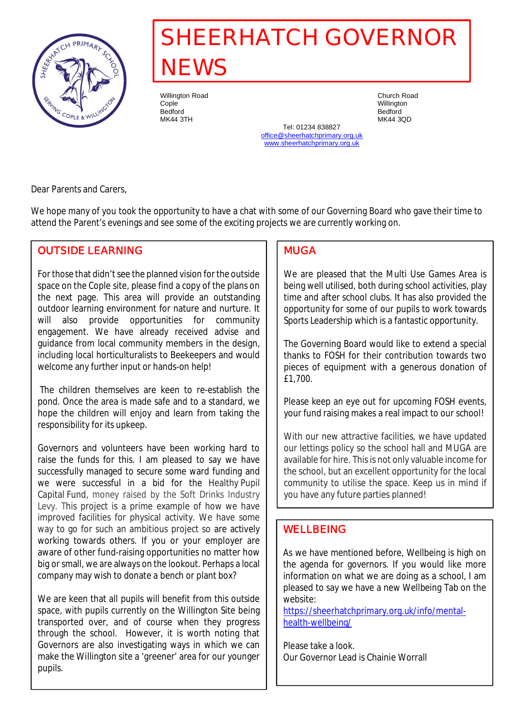

# **SHEERHATCH GOVERNOR NEWS**

Willington Road Church Road Cople Willington Bedford Bedford

MK44 3TH MK44 3QD Tel: 01234 838827 office@sheerhatchprimary.org.uk www.sheerhatchprimary.org.uk

Dear Parents and Carers,

We hope many of you took the opportunity to have a chat with some of our Governing Board who gave their time to attend the Parent's evenings and see some of the exciting projects we are currently working on.

# **OUTSIDE LEARNING**

For those that didn't see the planned vision for the outside space on the Cople site, please find a copy of the plans on the next page. This area will provide an outstanding outdoor learning environment for nature and nurture. It will also provide opportunities for community engagement. We have already received advise and guidance from local community members in the design, including local horticulturalists to Beekeepers and would welcome any further input or hands-on help!

 The children themselves are keen to re-establish the pond. Once the area is made safe and to a standard, we hope the children will enjoy and learn from taking the responsibility for its upkeep.

Governors and volunteers have been working hard to raise the funds for this. I am pleased to say we have successfully managed to secure some ward funding and we were successful in a bid for the Healthy Pupil Capital Fund, money raised by the Soft Drinks Industry Levy. This project is a prime example of how we have improved facilities for physical activity. We have some way to go for such an ambitious project so are actively working towards others. If you or your employer are aware of other fund-raising opportunities no matter how big or small, we are always on the lookout. Perhaps a local company may wish to donate a bench or plant box?

We are keen that all pupils will benefit from this outside space, with pupils currently on the Willington Site being transported over, and of course when they progress through the school. However, it is worth noting that Governors are also investigating ways in which we can make the Willington site a 'greener' area for our younger pupils.

### **MUGA**

We are pleased that the Multi Use Games Area is being well utilised, both during school activities, play time and after school clubs. It has also provided the opportunity for some of our pupils to work towards Sports Leadership which is a fantastic opportunity.

The Governing Board would like to extend a special thanks to FOSH for their contribution towards two pieces of equipment with a generous donation of £1,700.

Please keep an eye out for upcoming FOSH events, your fund raising makes a real impact to our school!

With our new attractive facilities, we have updated our lettings policy so the school hall and MUGA are available for hire. This is not only valuable income for the school, but an excellent opportunity for the local community to utilise the space. Keep us in mind if you have any future parties planned!

## **WELLBEING**

As we have mentioned before, Wellbeing is high on the agenda for governors. If you would like more information on what we are doing as a school, I am pleased to say we have a new Wellbeing Tab on the website:

https://sheerhatchprimary.org.uk/info/mentalhealth-wellbeing/

Please take a look. Our Governor Lead is Chainie Worrall